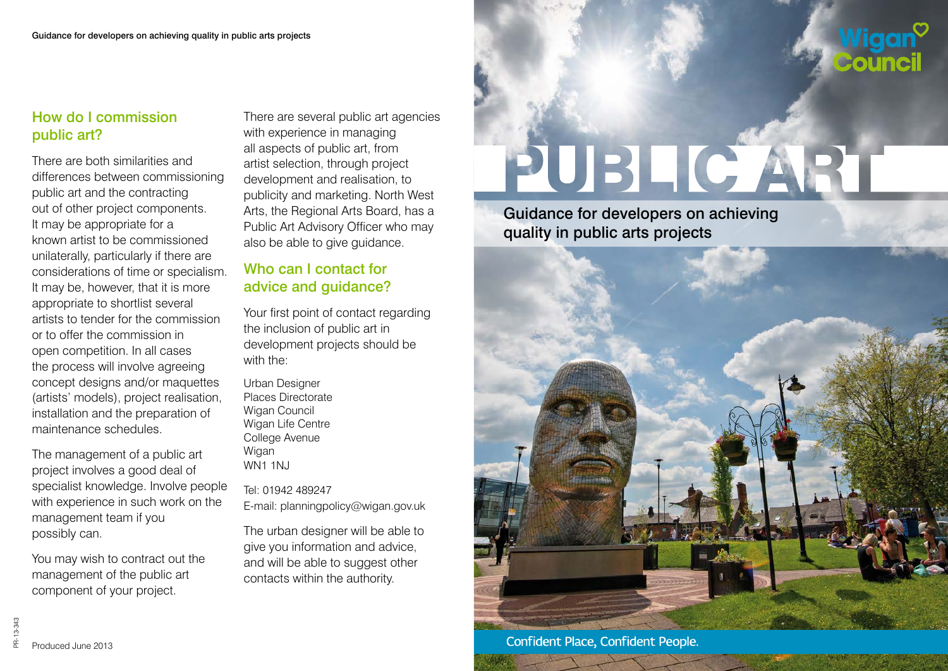## How do I commission public art?

There are both similarities and differences between commissioning public art and the contracting out of other project components. It may be appropriate for a known artist to be commissioned unilaterally, particularly if there are considerations of time or specialism. It may be, however, that it is more appropriate to shortlist several artists to tender for the commission or to offer the commission in open competition. In all cases the process will involve agreeing concept designs and/or maquettes (artists' models), project realisation, installation and the preparation of maintenance schedules.

The management of a public art project involves a good deal of specialist knowledge. Involve people with experience in such work on the management team if you possibly can.

You may wish to contract out the management of the public art component of your project.

There are several public art agencies with experience in managing all aspects of public art, from artist selection, through project development and realisation, to publicity and marketing. North West Arts, the Regional Arts Board, has a Public Art Advisory Officer who may also be able to give guidance.

## Who can I contact for advice and guidance?

Your first point of contact regarding the inclusion of public art in development projects should be with the:

Urban Designer Places Directorate Wigan Council Wigan Life Centre College Avenue Wigan WN1 1NJ

Tel: 01942 489247 E-mail: planningpolicy@wigan.gov.uk

The urban designer will be able to give you information and advice, and will be able to suggest other contacts within the authority.

# PUBLIC ART

Guidance for developers on achieving quality in public arts projects



PR-13-343 PR-13-343 Produced June 2013